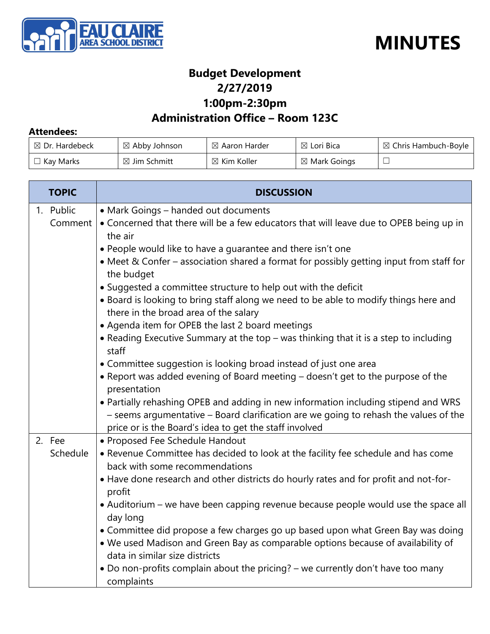



#### **Budget Development 2/27/2019 1:00pm-2:30pm**

#### **Administration Office – Room 123C**

#### **Attendees:**

| $\boxtimes$ Dr. Hardebeck | $\boxtimes$ Abby Johnson | $\boxtimes$ Aaron Harder | $\boxtimes$ Lori Bica   | $\boxtimes$ Chris Hambuch-Boyle |
|---------------------------|--------------------------|--------------------------|-------------------------|---------------------------------|
| $\Box$ Kay Marks          | $\boxtimes$ Jim Schmitt  | $\boxtimes$ Kim Koller   | $\boxtimes$ Mark Goings |                                 |

| <b>TOPIC</b> | <b>DISCUSSION</b>                                                                                                                                                          |
|--------------|----------------------------------------------------------------------------------------------------------------------------------------------------------------------------|
| 1. Public    | • Mark Goings - handed out documents                                                                                                                                       |
| Comment      | • Concerned that there will be a few educators that will leave due to OPEB being up in                                                                                     |
|              | the air                                                                                                                                                                    |
|              | • People would like to have a guarantee and there isn't one                                                                                                                |
|              | • Meet & Confer – association shared a format for possibly getting input from staff for<br>the budget                                                                      |
|              | • Suggested a committee structure to help out with the deficit                                                                                                             |
|              | • Board is looking to bring staff along we need to be able to modify things here and                                                                                       |
|              | there in the broad area of the salary                                                                                                                                      |
|              | • Agenda item for OPEB the last 2 board meetings                                                                                                                           |
|              | • Reading Executive Summary at the top – was thinking that it is a step to including<br>staff                                                                              |
|              | • Committee suggestion is looking broad instead of just one area                                                                                                           |
|              | • Report was added evening of Board meeting – doesn't get to the purpose of the                                                                                            |
|              | presentation                                                                                                                                                               |
|              | . Partially rehashing OPEB and adding in new information including stipend and WRS<br>- seems argumentative - Board clarification are we going to rehash the values of the |
|              | price or is the Board's idea to get the staff involved                                                                                                                     |
| 2. Fee       | • Proposed Fee Schedule Handout                                                                                                                                            |
| Schedule     | • Revenue Committee has decided to look at the facility fee schedule and has come<br>back with some recommendations                                                        |
|              | • Have done research and other districts do hourly rates and for profit and not-for-<br>profit                                                                             |
|              | • Auditorium – we have been capping revenue because people would use the space all<br>day long                                                                             |
|              | • Committee did propose a few charges go up based upon what Green Bay was doing                                                                                            |
|              | . We used Madison and Green Bay as comparable options because of availability of                                                                                           |
|              | data in similar size districts                                                                                                                                             |
|              | • Do non-profits complain about the pricing? - we currently don't have too many                                                                                            |
|              | complaints                                                                                                                                                                 |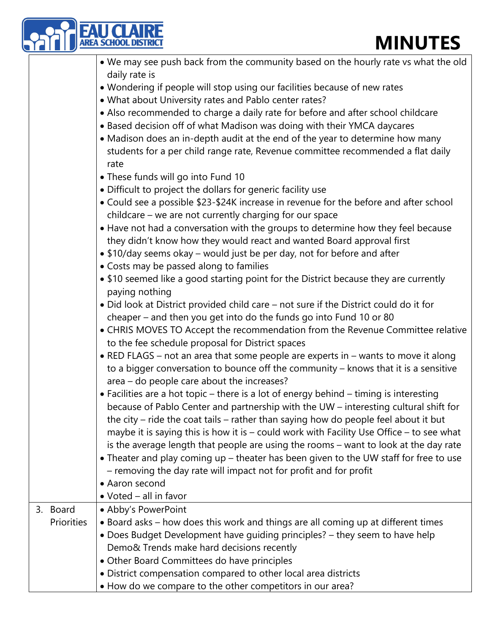|  |                   | <b>AREA SCHOOL DISTRIC</b><br><b>MINUTES</b>                                             |
|--|-------------------|------------------------------------------------------------------------------------------|
|  |                   | . We may see push back from the community based on the hourly rate vs what the old       |
|  |                   | daily rate is                                                                            |
|  |                   | • Wondering if people will stop using our facilities because of new rates                |
|  |                   | . What about University rates and Pablo center rates?                                    |
|  |                   | • Also recommended to charge a daily rate for before and after school childcare          |
|  |                   | • Based decision off of what Madison was doing with their YMCA daycares                  |
|  |                   | • Madison does an in-depth audit at the end of the year to determine how many            |
|  |                   | students for a per child range rate, Revenue committee recommended a flat daily          |
|  |                   | rate                                                                                     |
|  |                   | • These funds will go into Fund 10                                                       |
|  |                   | • Difficult to project the dollars for generic facility use                              |
|  |                   | • Could see a possible \$23-\$24K increase in revenue for the before and after school    |
|  |                   | childcare - we are not currently charging for our space                                  |
|  |                   | • Have not had a conversation with the groups to determine how they feel because         |
|  |                   | they didn't know how they would react and wanted Board approval first                    |
|  |                   | • \$10/day seems okay - would just be per day, not for before and after                  |
|  |                   | • Costs may be passed along to families                                                  |
|  |                   | • \$10 seemed like a good starting point for the District because they are currently     |
|  |                   | paying nothing                                                                           |
|  |                   | • Did look at District provided child care - not sure if the District could do it for    |
|  |                   | cheaper – and then you get into do the funds go into Fund 10 or 80                       |
|  |                   | • CHRIS MOVES TO Accept the recommendation from the Revenue Committee relative           |
|  |                   | to the fee schedule proposal for District spaces                                         |
|  |                   | • RED FLAGS – not an area that some people are experts in – wants to move it along       |
|  |                   | to a bigger conversation to bounce off the community - knows that it is a sensitive      |
|  |                   | area - do people care about the increases?                                               |
|  |                   | • Facilities are a hot topic – there is a lot of energy behind – timing is interesting   |
|  |                   | because of Pablo Center and partnership with the UW – interesting cultural shift for     |
|  |                   | the city - ride the coat tails - rather than saying how do people feel about it but      |
|  |                   | maybe it is saying this is how it is - could work with Facility Use Office - to see what |
|  |                   | is the average length that people are using the rooms - want to look at the day rate     |
|  |                   | • Theater and play coming up – theater has been given to the UW staff for free to use    |
|  |                   | - removing the day rate will impact not for profit and for profit                        |
|  |                   | • Aaron second                                                                           |
|  |                   | • Voted - all in favor                                                                   |
|  | 3. Board          | • Abby's PowerPoint                                                                      |
|  | <b>Priorities</b> | • Board asks – how does this work and things are all coming up at different times        |
|  |                   | • Does Budget Development have guiding principles? - they seem to have help              |
|  |                   | Demo& Trends make hard decisions recently                                                |
|  |                   | • Other Board Committees do have principles                                              |
|  |                   | · District compensation compared to other local area districts                           |
|  |                   | • How do we compare to the other competitors in our area?                                |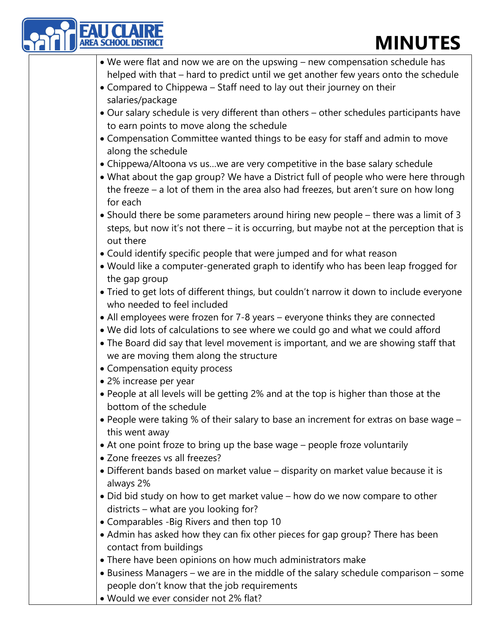| <b>AU CLAIR<br/>REA SCHOOL DISTRI</b> | <b>MINUTES</b>                                                                                                                                                                                                                                                                                     |
|---------------------------------------|----------------------------------------------------------------------------------------------------------------------------------------------------------------------------------------------------------------------------------------------------------------------------------------------------|
|                                       | • We were flat and now we are on the upswing – new compensation schedule has<br>helped with that - hard to predict until we get another few years onto the schedule<br>• Compared to Chippewa – Staff need to lay out their journey on their                                                       |
| salaries/package                      |                                                                                                                                                                                                                                                                                                    |
|                                       | • Our salary schedule is very different than others - other schedules participants have<br>to earn points to move along the schedule                                                                                                                                                               |
| along the schedule                    | • Compensation Committee wanted things to be easy for staff and admin to move                                                                                                                                                                                                                      |
| for each                              | • Chippewa/Altoona vs uswe are very competitive in the base salary schedule<br>• What about the gap group? We have a District full of people who were here through<br>the freeze $-$ a lot of them in the area also had freezes, but aren't sure on how long                                       |
| out there                             | • Should there be some parameters around hiring new people – there was a limit of 3<br>steps, but now it's not there - it is occurring, but maybe not at the perception that is                                                                                                                    |
|                                       | • Could identify specific people that were jumped and for what reason                                                                                                                                                                                                                              |
| the gap group                         | • Would like a computer-generated graph to identify who has been leap frogged for                                                                                                                                                                                                                  |
| who needed to feel included           | • Tried to get lots of different things, but couldn't narrow it down to include everyone                                                                                                                                                                                                           |
| • Compensation equity process         | • All employees were frozen for 7-8 years – everyone thinks they are connected<br>. We did lots of calculations to see where we could go and what we could afford<br>• The Board did say that level movement is important, and we are showing staff that<br>we are moving them along the structure |
| • 2% increase per year                |                                                                                                                                                                                                                                                                                                    |
| bottom of the schedule                | . People at all levels will be getting 2% and at the top is higher than those at the                                                                                                                                                                                                               |
| this went away                        | • People were taking % of their salary to base an increment for extras on base wage -                                                                                                                                                                                                              |
| • Zone freezes vs all freezes?        | • At one point froze to bring up the base wage - people froze voluntarily                                                                                                                                                                                                                          |
| always 2%                             | • Different bands based on market value - disparity on market value because it is                                                                                                                                                                                                                  |
|                                       | • Did bid study on how to get market value – how do we now compare to other<br>districts - what are you looking for?                                                                                                                                                                               |
|                                       | • Comparables - Big Rivers and then top 10                                                                                                                                                                                                                                                         |
| contact from buildings                | • Admin has asked how they can fix other pieces for gap group? There has been                                                                                                                                                                                                                      |
|                                       | • There have been opinions on how much administrators make                                                                                                                                                                                                                                         |
|                                       | • Business Managers – we are in the middle of the salary schedule comparison – some<br>people don't know that the job requirements                                                                                                                                                                 |
|                                       | . Would we ever consider not 2% flat?                                                                                                                                                                                                                                                              |

• Would we ever consider not 2% flat?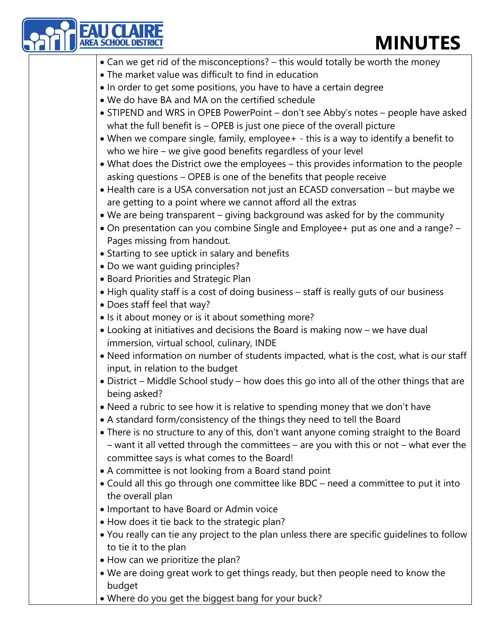- Can we get rid of the misconceptions? this would totally be worth the money
- The market value was difficult to find in education
- In order to get some positions, you have to have a certain degree
- We do have BA and MA on the certified schedule
- STIPEND and WRS in OPEB PowerPoint don't see Abby's notes people have asked what the full benefit is – OPEB is just one piece of the overall picture
- When we compare single, family, employee+ this is a way to identify a benefit to who we hire – we give good benefits regardless of your level
- What does the District owe the employees this provides information to the people asking questions – OPEB is one of the benefits that people receive
- Health care is a USA conversation not just an ECASD conversation but maybe we are getting to a point where we cannot afford all the extras
- We are being transparent giving background was asked for by the community
- On presentation can you combine Single and Employee+ put as one and a range? Pages missing from handout.
- Starting to see uptick in salary and benefits
- Do we want guiding principles?
- Board Priorities and Strategic Plan
- High quality staff is a cost of doing business staff is really guts of our business
- Does staff feel that way?

**AREA SCHOOL DISTRICT** 

- Is it about money or is it about something more?
- Looking at initiatives and decisions the Board is making now we have dual immersion, virtual school, culinary, INDE
- Need information on number of students impacted, what is the cost, what is our staff input, in relation to the budget
- District Middle School study how does this go into all of the other things that are being asked?
- Need a rubric to see how it is relative to spending money that we don't have
- A standard form/consistency of the things they need to tell the Board
- There is no structure to any of this, don't want anyone coming straight to the Board – want it all vetted through the committees – are you with this or not – what ever the committee says is what comes to the Board!
- A committee is not looking from a Board stand point
- Could all this go through one committee like BDC need a committee to put it into the overall plan
- Important to have Board or Admin voice
- How does it tie back to the strategic plan?
- You really can tie any project to the plan unless there are specific guidelines to follow to tie it to the plan
- How can we prioritize the plan?
- We are doing great work to get things ready, but then people need to know the budget
- Where do you get the biggest bang for your buck?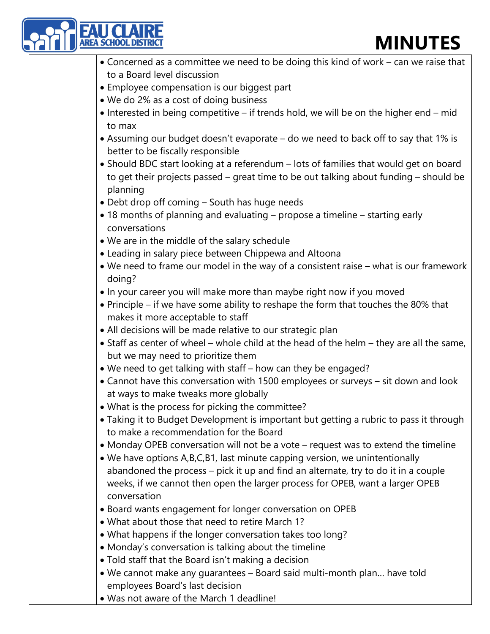

• Was not aware of the March 1 deadline!